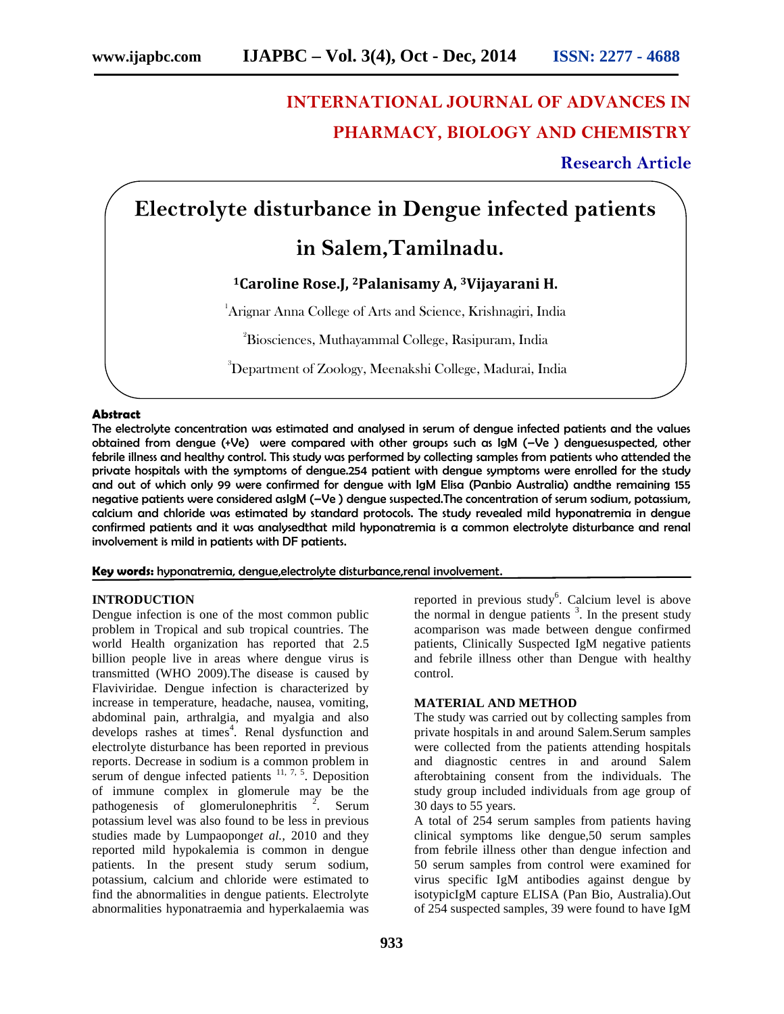# **INTERNATIONAL JOURNAL OF ADVANCES IN PHARMACY, BIOLOGY AND CHEMISTRY**

**Research Article**

## **Electrolyte disturbance in Dengue infected patients**

### **in Salem,Tamilnadu.**

**<sup>1</sup>Caroline Rose.J, <sup>2</sup>Palanisamy A, <sup>3</sup>Vijayarani H.**

<sup>1</sup>Arignar Anna College of Arts and Science, Krishnagiri, India

<sup>2</sup>Biosciences, Muthayammal College, Rasipuram, India

<sup>3</sup>Department of Zoology, Meenakshi College, Madurai, India

#### **Abstract**

The electrolyte concentration was estimated and analysed in serum of dengue infected patients and the values obtained from dengue (+Ve) were compared with other groups such as IgM (–Ve ) denguesuspected, other febrile illness and healthy control. This study was performed by collecting samples from patients who attended the private hospitals with the symptoms of dengue.254 patient with dengue symptoms were enrolled for the study and out of which only 99 were confirmed for dengue with IgM Elisa (Panbio Australia) andthe remaining 155 negative patients were considered asIgM (–Ve ) dengue suspected.The concentration of serum sodium, potassium, calcium and chloride was estimated by standard protocols. The study revealed mild hyponatremia in dengue confirmed patients and it was analysedthat mild hyponatremia is a common electrolyte disturbance and renal involvement is mild in patients with DF patients.

**Key words:** hyponatremia, dengue,electrolyte disturbance,renal involvement.

#### **INTRODUCTION**

Dengue infection is one of the most common public problem in Tropical and sub tropical countries. The world Health organization has reported that 2.5 billion people live in areas where dengue virus is transmitted (WHO 2009).The disease is caused by Flaviviridae. Dengue infection is characterized by increase in temperature, headache, nausea, vomiting, abdominal pain, arthralgia, and myalgia and also develops rashes at times<sup>4</sup>. Renal dysfunction and electrolyte disturbance has been reported in previous reports. Decrease in sodium is a common problem in serum of dengue infected patients  $11, 7, 5$ . Deposition of immune complex in glomerule may be the pathogenesis of glomerulonephritis  $\frac{2}{x}$ . Serum 30 da potassium level was also found to be less in previous studies made by Lumpaopong*et al.,* 2010 and they reported mild hypokalemia is common in dengue patients. In the present study serum sodium, potassium, calcium and chloride were estimated to find the abnormalities in dengue patients. Electrolyte abnormalities hyponatraemia and hyperkalaemia was

reported in previous study<sup>6</sup>. Calcium level is above the normal in dengue patients  $3$ . In the present study acomparison was made between dengue confirmed patients, Clinically Suspected IgM negative patients and febrile illness other than Dengue with healthy control.

#### **MATERIAL AND METHOD**

The study was carried out by collecting samples from private hospitals in and around Salem.Serum samples were collected from the patients attending hospitals and diagnostic centres in and around Salem afterobtaining consent from the individuals. The study group included individuals from age group of 30 days to 55 years.

A total of 254 serum samples from patients having clinical symptoms like dengue,50 serum samples from febrile illness other than dengue infection and 50 serum samples from control were examined for virus specific IgM antibodies against dengue by isotypicIgM capture ELISA (Pan Bio, Australia).Out of 254 suspected samples, 39 were found to have IgM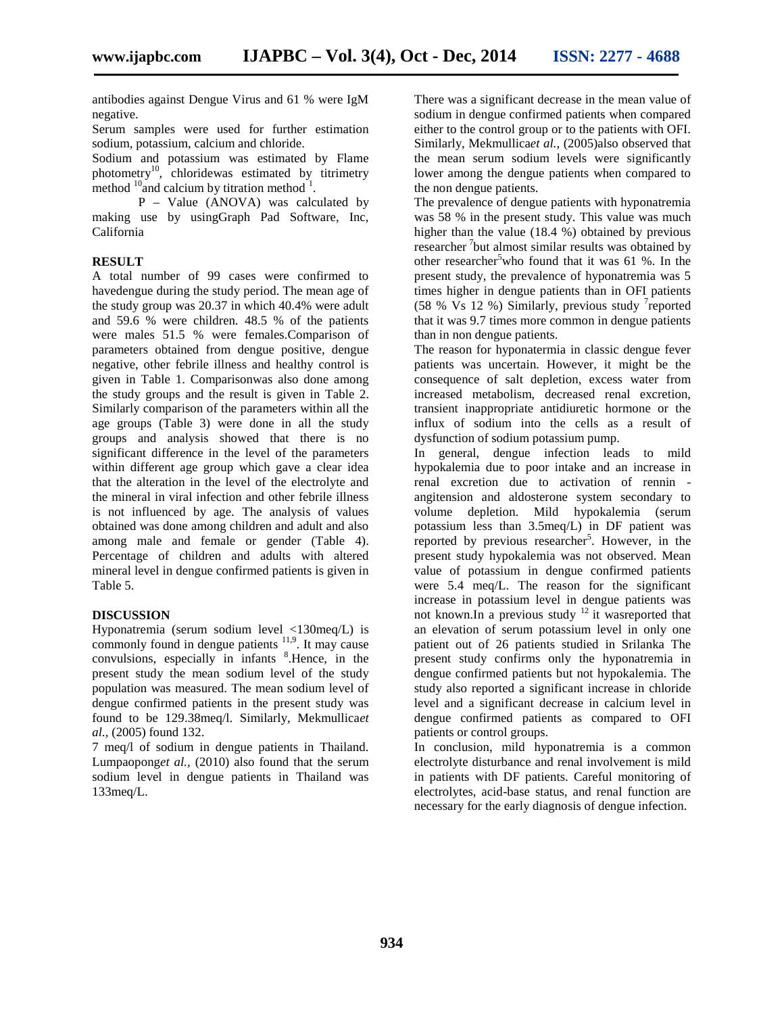antibodies against Dengue Virus and 61 % were IgM negative.

Serum samples were used for further estimation sodium, potassium, calcium and chloride.

Sodium and potassium was estimated by Flame photometry<sup>10</sup>, chloridewas estimated by titrimetry method  $10$  and calcium by titration method  $1$ .

P – Value (ANOVA) was calculated by making use by usingGraph Pad Software, Inc, California

#### **RESULT**

A total number of 99 cases were confirmed to havedengue during the study period. The mean age of the study group was 20.37 in which 40.4% were adult and 59.6 % were children. 48.5 % of the patients were males 51.5 % were females.Comparison of parameters obtained from dengue positive, dengue negative, other febrile illness and healthy control is given in Table 1. Comparisonwas also done among the study groups and the result is given in Table 2. Similarly comparison of the parameters within all the age groups (Table 3) were done in all the study groups and analysis showed that there is no significant difference in the level of the parameters within different age group which gave a clear idea that the alteration in the level of the electrolyte and the mineral in viral infection and other febrile illness is not influenced by age. The analysis of values obtained was done among children and adult and also among male and female or gender (Table 4). Percentage of children and adults with altered mineral level in dengue confirmed patients is given in Table 5.

#### **DISCUSSION**

Hyponatremia (serum sodium level <130meq/L) is commonly found in dengue patients  $11,9$ . It may cause convulsions, especially in infants <sup>8</sup> .Hence, in the present study the mean sodium level of the study population was measured. The mean sodium level of dengue confirmed patients in the present study was found to be 129.38meq/l. Similarly, Mekmullica*et al.,* (2005) found 132.

7 meq/l of sodium in dengue patients in Thailand. Lumpaopong*et al.,* (2010) also found that the serum sodium level in dengue patients in Thailand was 133meq/L.

There was a significant decrease in the mean value of sodium in dengue confirmed patients when compared either to the control group or to the patients with OFI. Similarly, Mekmullica*et al.,* (2005)also observed that the mean serum sodium levels were significantly lower among the dengue patients when compared to the non dengue patients.

The prevalence of dengue patients with hyponatremia was 58 % in the present study. This value was much higher than the value (18.4 %) obtained by previous researcher  $\frac{7}{1}$  but almost similar results was obtained by other researcher<sup>5</sup>who found that it was 61 %. In the present study, the prevalence of hyponatremia was 5 times higher in dengue patients than in OFI patients (58 % Vs 12 %) Similarly, previous study  $7$  reported that it was 9.7 times more common in dengue patients than in non dengue patients.

The reason for hyponatermia in classic dengue fever patients was uncertain. However, it might be the consequence of salt depletion, excess water from increased metabolism, decreased renal excretion, transient inappropriate antidiuretic hormone or the influx of sodium into the cells as a result of dysfunction of sodium potassium pump.

In general, dengue infection leads to mild hypokalemia due to poor intake and an increase in renal excretion due to activation of rennin -angitension and aldosterone system secondary to volume depletion. Mild hypokalemia (serum potassium less than 3.5meq/L) in DF patient was reported by previous researcher<sup>5</sup>. However, in the present study hypokalemia was not observed. Mean value of potassium in dengue confirmed patients were 5.4 meq/L. The reason for the significant increase in potassium level in dengue patients was not known.In a previous study  $12$  it wasreported that an elevation of serum potassium level in only one patient out of 26 patients studied in Srilanka The present study confirms only the hyponatremia in dengue confirmed patients but not hypokalemia. The study also reported a significant increase in chloride level and a significant decrease in calcium level in dengue confirmed patients as compared to OFI patients or control groups.

In conclusion, mild hyponatremia is a common electrolyte disturbance and renal involvement is mild in patients with DF patients. Careful monitoring of electrolytes, acid-base status, and renal function are necessary for the early diagnosis of dengue infection.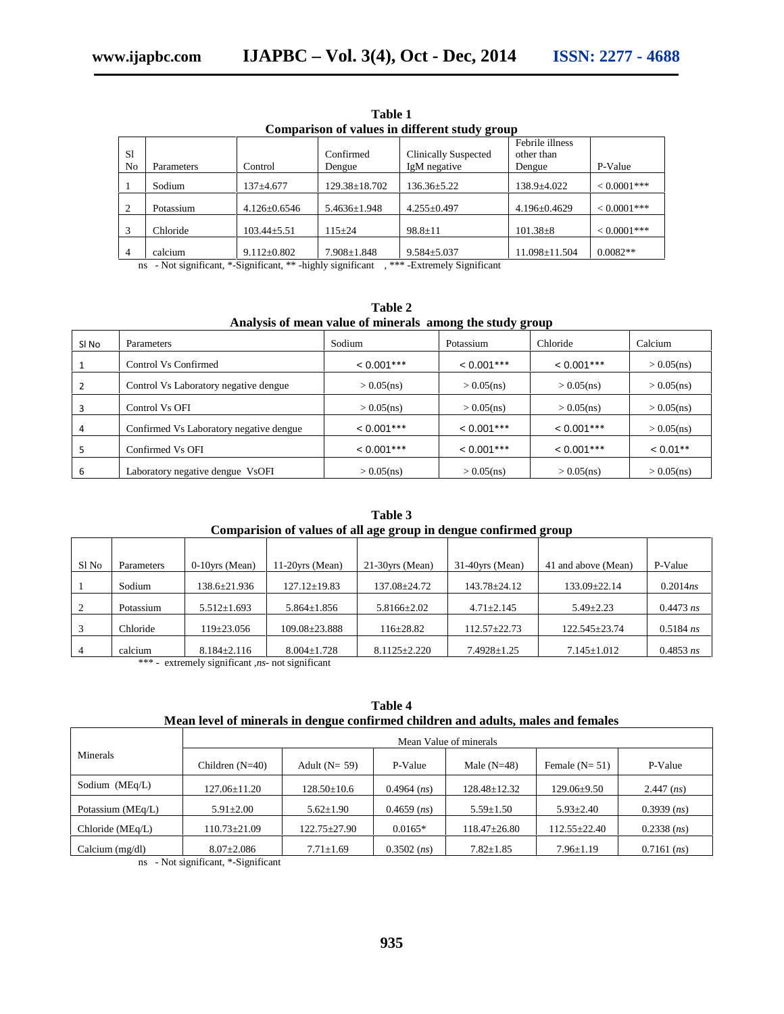$\overline{a}$ 

|                     | Comparison of values in different study group |                    |                     |                                             |                                         |                |  |  |  |
|---------------------|-----------------------------------------------|--------------------|---------------------|---------------------------------------------|-----------------------------------------|----------------|--|--|--|
| <sub>S1</sub><br>No | Parameters                                    | Control            | Confirmed<br>Dengue | <b>Clinically Suspected</b><br>IgM negative | Febrile illness<br>other than<br>Dengue | P-Value        |  |  |  |
|                     | Sodium                                        | 137±4.677          | $129.38 \pm 18.702$ | $136.36 \pm 5.22$                           | 138.9±4.022                             | $< 0.0001$ *** |  |  |  |
| $\overline{c}$      | Potassium                                     | $4.126 \pm 0.6546$ | $5.4636 \pm 1.948$  | $4.255 \pm 0.497$                           | $4.196 \pm 0.4629$                      | $< 0.0001$ *** |  |  |  |
|                     | Chloride                                      | $103.44 \pm 5.51$  | $115 + 24$          | $98.8 \pm 11$                               | $101.38 + 8$                            | $< 0.0001$ *** |  |  |  |
| 4                   | calcium                                       | $9.112 \pm 0.802$  | $7.908 \pm 1.848$   | $9.584 + 5.037$                             | 11.098±11.504                           | $0.0082**$     |  |  |  |

**Table 1 Comparison of values in different study group**

ns - Not significant, \*-Significant, \*\* -highly significant , \*\*\* -Extremely Significant

| Table 2                                                  |  |
|----------------------------------------------------------|--|
| Analysis of mean value of minerals among the study group |  |

| SI No | Parameters                              | Sodium        | Potassium     | Chloride      | Calcium       |
|-------|-----------------------------------------|---------------|---------------|---------------|---------------|
|       | Control Vs Confirmed                    | $< 0.001***$  | $< 0.001***$  | $< 0.001***$  | $> 0.05$ (ns) |
|       | Control Vs Laboratory negative dengue   | $> 0.05$ (ns) | $> 0.05$ (ns) | $> 0.05$ (ns) | $> 0.05$ (ns) |
|       | Control Vs OFI                          | $> 0.05$ (ns) | $> 0.05$ (ns) | $> 0.05$ (ns) | $> 0.05$ (ns) |
| 4     | Confirmed Vs Laboratory negative dengue | $< 0.001***$  | $< 0.001***$  | $< 0.001***$  | $> 0.05$ (ns) |
|       | Confirmed Vs OFI                        | $< 0.001***$  | $< 0.001***$  | $< 0.001***$  | $< 0.01**$    |
| 6     | Laboratory negative dengue VsOFI        | $> 0.05$ (ns) | $> 0.05$ (ns) | $> 0.05$ (ns) | $> 0.05$ (ns) |

| Table 3                                                          |  |  |  |  |  |  |  |
|------------------------------------------------------------------|--|--|--|--|--|--|--|
| Comparision of values of all age group in dengue confirmed group |  |  |  |  |  |  |  |
|                                                                  |  |  |  |  |  |  |  |

| Comparisión or values or an age group in deligue commitmed group |            |                   |                     |                    |                    |                     |                     |  |  |
|------------------------------------------------------------------|------------|-------------------|---------------------|--------------------|--------------------|---------------------|---------------------|--|--|
| S1 No                                                            | Parameters | $0-10$ vrs (Mean) | $11-20$ yrs (Mean)  | $21-30$ yrs (Mean) | $31-40$ yrs (Mean) | 41 and above (Mean) | P-Value             |  |  |
|                                                                  | Sodium     | 138.6±21.936      | $127.12 \pm 19.83$  | 137.08±24.72       | 143.78±24.12       | $133.09 \pm 22.14$  | 0.2014ns            |  |  |
|                                                                  | Potassium  | $5.512 \pm 1.693$ | $5.864 \pm 1.856$   | $5.8166 \pm 2.02$  | $4.71 \pm 2.145$   | $5.49 \pm 2.23$     | $0.4473$ ns         |  |  |
|                                                                  | Chloride   | $119 \pm 23.056$  | $109.08 \pm 23.888$ | $116 \pm 28.82$    | $112.57 \pm 22.73$ | $122.545 \pm 23.74$ | $0.5184 \text{ ns}$ |  |  |
|                                                                  | calcium    | $8.184 \pm 2.116$ | $8.004 \pm 1.728$   | $8.1125 \pm 2.220$ | $7.4928 \pm 1.25$  | $7.145 \pm 1.012$   | $0.4853$ ns         |  |  |

\*\*\* - extremely significant ,*ns*- not significant

| Table 4                                                                           |  |
|-----------------------------------------------------------------------------------|--|
| Mean level of minerals in dengue confirmed children and adults, males and females |  |

|                   | Mean Value of minerals |                    |                        |                    |                 |                        |  |  |
|-------------------|------------------------|--------------------|------------------------|--------------------|-----------------|------------------------|--|--|
| <b>Minerals</b>   | Children $(N=40)$      | Adult $(N= 59)$    | P-Value                | Male $(N=48)$      | Female $(N=51)$ | P-Value                |  |  |
| Sodium (MEq/L)    | $127.06 \pm 11.20$     | $128.50 \pm 10.6$  | $0.4964$ ( <i>ns</i> ) | $128.48 \pm 12.32$ | 129.06±9.50     | $2.447$ $(ns)$         |  |  |
| Potassium (MEq/L) | $5.91 \pm 2.00$        | $5.62 \pm 1.90$    | $0.4659$ ( <i>ns</i> ) | $5.59 \pm 1.50$    | $5.93 + 2.40$   | 0.3939(ns)             |  |  |
| Chloride (MEq/L)  | $110.73 \pm 21.09$     | $122.75 \pm 27.90$ | $0.0165*$              | $118.47 \pm 26.80$ | 112.55±22.40    | $0.2338$ $(ns)$        |  |  |
| Calcium $(mg/dl)$ | $8.07 \pm 2.086$       | $7.71 \pm 1.69$    | $0.3502$ ( <i>ns</i> ) | $7.82 \pm 1.85$    | $7.96 \pm 1.19$ | $0.7161$ ( <i>ns</i> ) |  |  |

ns - Not significant, \*-Significant